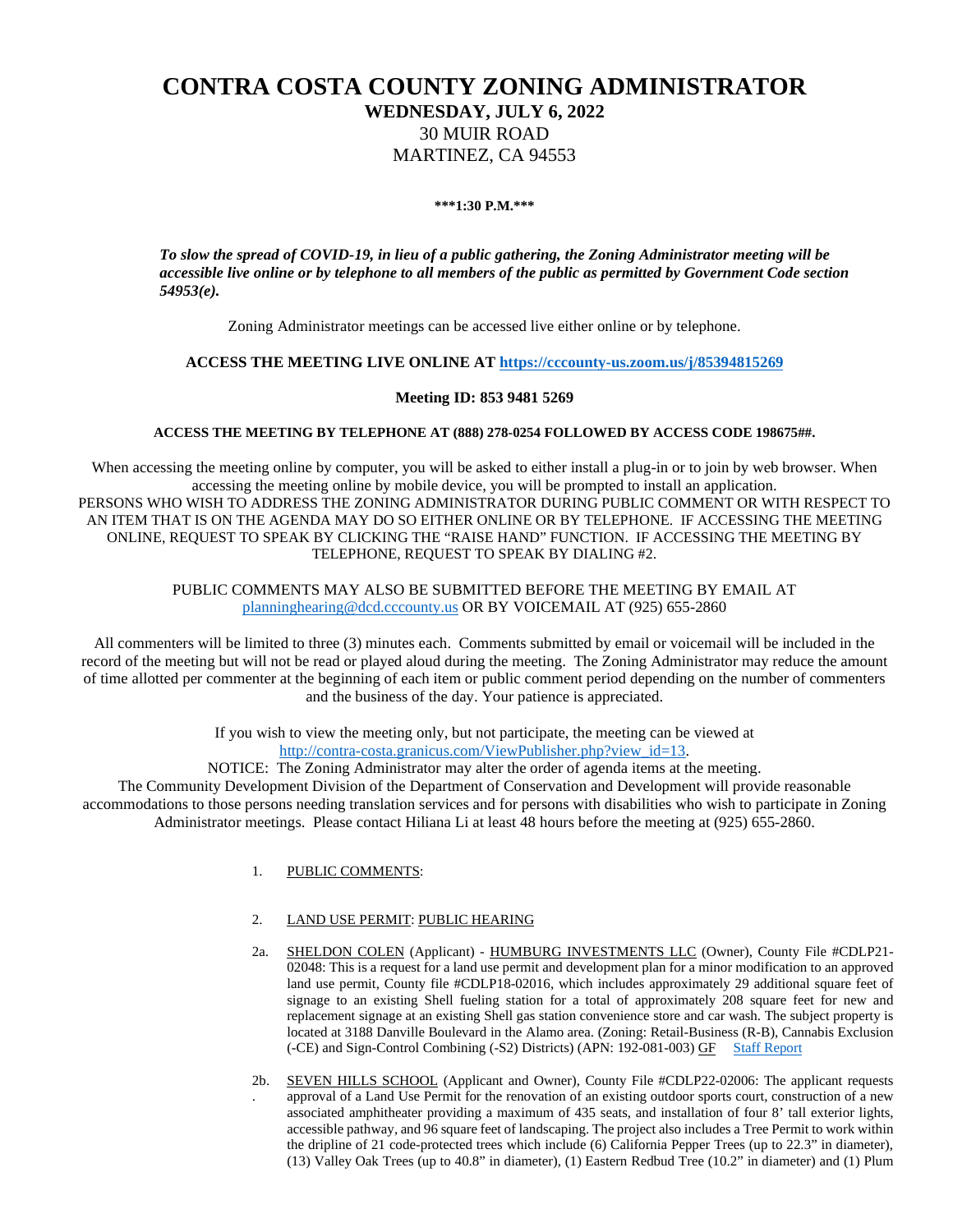# **CONTRA COSTA COUNTY ZONING ADMINISTRATOR WEDNESDAY, JULY 6, 2022** 30 MUIR ROAD MARTINEZ, CA 94553

#### **\*\*\*1:30 P.M.\*\*\***

*To slow the spread of COVID-19, in lieu of a public gathering, the Zoning Administrator meeting will be accessible live online or by telephone to all members of the public as permitted by Government Code section 54953(e).*

Zoning Administrator meetings can be accessed live either online or by telephone.

## **ACCESS THE MEETING LIVE ONLINE AT [https://cccounty-us.zoom.us/j/85394815269](https://gcc02.safelinks.protection.outlook.com/?url=https%3A%2F%2Fcccounty-us.zoom.us%2Fj%2F85394815269&data=05%7C01%7CHiliana.Li%40dcd.cccounty.us%7C3165f77a7c6e4cf1ec6808da52e5f8fe%7C76c13a07612f4e06a2f4783d69dc4cdb%7C0%7C0%7C637913444926308573%7CUnknown%7CTWFpbGZsb3d8eyJWIjoiMC4wLjAwMDAiLCJQIjoiV2luMzIiLCJBTiI6Ik1haWwiLCJXVCI6Mn0%3D%7C3000%7C%7C%7C&sdata=ya%2BNKVpEW%2By3IJPegOtpUBngIHfXlOdMtysdSwCalwI%3D&reserved=0)**

## **Meeting ID: 853 9481 5269**

### **ACCESS THE MEETING BY TELEPHONE AT (888) 278-0254 FOLLOWED BY ACCESS CODE 198675##.**

When accessing the meeting online by computer, you will be asked to either install a plug-in or to join by web browser. When accessing the meeting online by mobile device, you will be prompted to install an application. PERSONS WHO WISH TO ADDRESS THE ZONING ADMINISTRATOR DURING PUBLIC COMMENT OR WITH RESPECT TO AN ITEM THAT IS ON THE AGENDA MAY DO SO EITHER ONLINE OR BY TELEPHONE. IF ACCESSING THE MEETING ONLINE, REQUEST TO SPEAK BY CLICKING THE "RAISE HAND" FUNCTION. IF ACCESSING THE MEETING BY TELEPHONE, REQUEST TO SPEAK BY DIALING #2.

## PUBLIC COMMENTS MAY ALSO BE SUBMITTED BEFORE THE MEETING BY EMAIL AT [planninghearing@dcd.cccounty.us](mailto:planninghearing@dcd.cccounty.us) OR BY VOICEMAIL AT (925) 655-2860

All commenters will be limited to three (3) minutes each. Comments submitted by email or voicemail will be included in the record of the meeting but will not be read or played aloud during the meeting. The Zoning Administrator may reduce the amount of time allotted per commenter at the beginning of each item or public comment period depending on the number of commenters and the business of the day. Your patience is appreciated.

> If you wish to view the meeting only, but not participate, the meeting can be viewed at [http://contra-costa.granicus.com/ViewPublisher.php?view\\_id=13.](http://contra-costa.granicus.com/ViewPublisher.php?view_id=13)

#### NOTICE: The Zoning Administrator may alter the order of agenda items at the meeting.

The Community Development Division of the Department of Conservation and Development will provide reasonable accommodations to those persons needing translation services and for persons with disabilities who wish to participate in Zoning Administrator meetings. Please contact Hiliana Li at least 48 hours before the meeting at (925) 655-2860.

1. PUBLIC COMMENTS:

#### 2. LAND USE PERMIT: PUBLIC HEARING

- 2a. SHELDON COLEN (Applicant) HUMBURG INVESTMENTS LLC (Owner), County File #CDLP21- 02048: This is a request for a land use permit and development plan for a minor modification to an approved land use permit, County file #CDLP18-02016, which includes approximately 29 additional square feet of signage to an existing Shell fueling station for a total of approximately 208 square feet for new and replacement signage at an existing Shell gas station convenience store and car wash. The subject property is located at 3188 Danville Boulevard in the Alamo area. (Zoning: Retail-Business (R-B), Cannabis Exclusion (-CE) and Sign-Control Combining (-S2) Districts) (APN: 192-081-003) GF [Staff Report](https://www.contracosta.ca.gov/DocumentCenter/View/75518/LP21-2048-web-page)
- 2b. SEVEN HILLS SCHOOL (Applicant and Owner), County File #CDLP22-02006: The applicant requests . approval of a Land Use Permit for the renovation of an existing outdoor sports court, construction of a new associated amphitheater providing a maximum of 435 seats, and installation of four 8' tall exterior lights, accessible pathway, and 96 square feet of landscaping. The project also includes a Tree Permit to work within the dripline of 21 code-protected trees which include (6) California Pepper Trees (up to 22.3" in diameter), (13) Valley Oak Trees (up to 40.8" in diameter), (1) Eastern Redbud Tree (10.2" in diameter) and (1) Plum